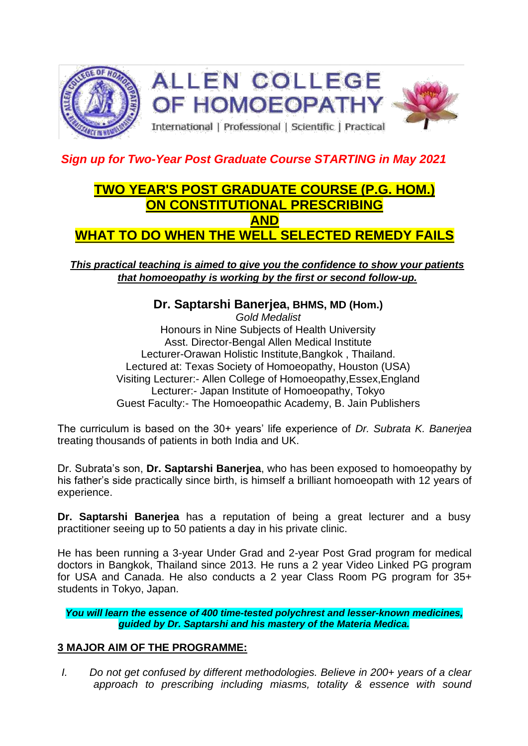

## *Sign up for Two-Year Post Graduate Course STARTING in May 2021*

# **TWO YEAR'S POST GRADUATE COURSE (P.G. HOM.) ON CONSTITUTIONAL PRESCRIBING AND WHAT TO DO WHEN THE WELL SELECTED REMEDY FAILS**

*This practical teaching is aimed to give you the confidence to show your patients that homoeopathy is working by the first or second follow-up.*

## **Dr. Saptarshi Banerjea, BHMS, MD (Hom.)**

*Gold Medalist* Honours in Nine Subjects of Health University Asst. Director-Bengal Allen Medical Institute Lecturer-Orawan Holistic Institute,Bangkok , Thailand. Lectured at: Texas Society of Homoeopathy, Houston (USA) Visiting Lecturer:- Allen College of Homoeopathy,Essex,England Lecturer:- Japan Institute of Homoeopathy, Tokyo Guest Faculty:- The Homoeopathic Academy, B. Jain Publishers

The curriculum is based on the 30+ years' life experience of *Dr. Subrata K. Banerjea* treating thousands of patients in both India and UK.

Dr. Subrata's son, **Dr. Saptarshi Banerjea**, who has been exposed to homoeopathy by his father's side practically since birth, is himself a brilliant homoeopath with 12 years of experience.

**Dr. Saptarshi Banerjea** has a reputation of being a great lecturer and a busy practitioner seeing up to 50 patients a day in his private clinic.

He has been running a 3-year Under Grad and 2-year Post Grad program for medical doctors in Bangkok, Thailand since 2013. He runs a 2 year Video Linked PG program for USA and Canada. He also conducts a 2 year Class Room PG program for 35+ students in Tokyo, Japan.

*You will learn the essence of 400 time-tested polychrest and lesser-known medicines, guided by Dr. Saptarshi and his mastery of the Materia Medica.*

### **3 MAJOR AIM OF THE PROGRAMME:**

*I. Do not get confused by different methodologies. Believe in 200+ years of a clear approach to prescribing including miasms, totality & essence with sound*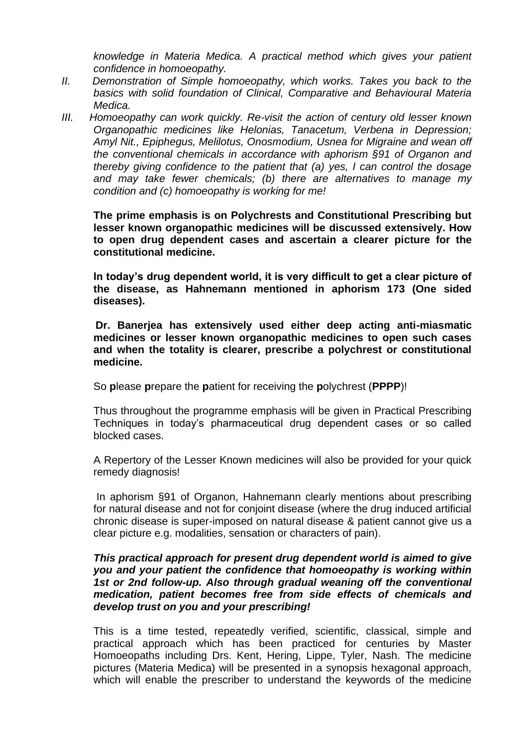*knowledge in Materia Medica. A practical method which gives your patient confidence in homoeopathy.* 

- *II. Demonstration of Simple homoeopathy, which works. Takes you back to the basics with solid foundation of Clinical, Comparative and Behavioural Materia Medica.*
- *III.* Homoeopathy can work quickly. Re-visit the action of century old lesser known *Organopathic medicines like Helonias, Tanacetum, Verbena in Depression; Amyl Nit., Epiphegus, Melilotus, Onosmodium, Usnea for Migraine and wean off the conventional chemicals in accordance with aphorism §91 of Organon and thereby giving confidence to the patient that (a) yes, I can control the dosage and may take fewer chemicals; (b) there are alternatives to manage my condition and (c) homoeopathy is working for me!*

**The prime emphasis is on Polychrests and Constitutional Prescribing but lesser known organopathic medicines will be discussed extensively. How to open drug dependent cases and ascertain a clearer picture for the constitutional medicine.** 

**In today's drug dependent world, it is very difficult to get a clear picture of the disease, as Hahnemann mentioned in aphorism 173 (One sided diseases).**

**Dr. Banerjea has extensively used either deep acting anti-miasmatic medicines or lesser known organopathic medicines to open such cases and when the totality is clearer, prescribe a polychrest or constitutional medicine.** 

So **p**lease **p**repare the **p**atient for receiving the **p**olychrest (**PPPP**)!

Thus throughout the programme emphasis will be given in Practical Prescribing Techniques in today's pharmaceutical drug dependent cases or so called blocked cases.

A Repertory of the Lesser Known medicines will also be provided for your quick remedy diagnosis!

In aphorism §91 of Organon, Hahnemann clearly mentions about prescribing for natural disease and not for conjoint disease (where the drug induced artificial chronic disease is super-imposed on natural disease & patient cannot give us a clear picture e.g. modalities, sensation or characters of pain).

#### *This practical approach for present drug dependent world is aimed to give you and your patient the confidence that homoeopathy is working within 1st or 2nd follow-up. Also through gradual weaning off the conventional medication, patient becomes free from side effects of chemicals and develop trust on you and your prescribing!*

This is a time tested, repeatedly verified, scientific, classical, simple and practical approach which has been practiced for centuries by Master Homoeopaths including Drs. Kent, Hering, Lippe, Tyler, Nash. The medicine pictures (Materia Medica) will be presented in a synopsis hexagonal approach, which will enable the prescriber to understand the keywords of the medicine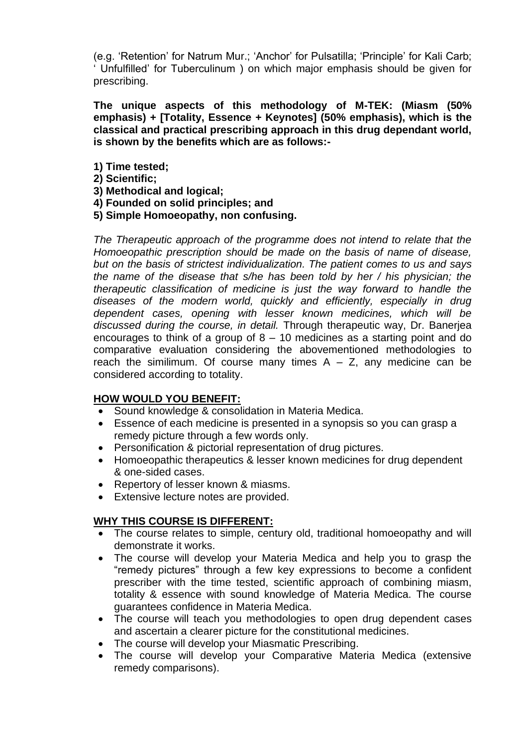(e.g. 'Retention' for Natrum Mur.; 'Anchor' for Pulsatilla; 'Principle' for Kali Carb; ' Unfulfilled' for Tuberculinum ) on which major emphasis should be given for prescribing.

**The unique aspects of this methodology of M-TEK: (Miasm (50% emphasis) + [Totality, Essence + Keynotes] (50% emphasis), which is the classical and practical prescribing approach in this drug dependant world, is shown by the benefits which are as follows:-**

- **1) Time tested;**
- **2) Scientific;**
- **3) Methodical and logical;**
- **4) Founded on solid principles; and**
- **5) Simple Homoeopathy, non confusing.**

*The Therapeutic approach of the programme does not intend to relate that the Homoeopathic prescription should be made on the basis of name of disease, but on the basis of strictest individualization. The patient comes to us and says the name of the disease that s/he has been told by her / his physician; the therapeutic classification of medicine is just the way forward to handle the diseases of the modern world, quickly and efficiently, especially in drug dependent cases, opening with lesser known medicines, which will be discussed during the course, in detail.* Through therapeutic way, Dr. Banerjea encourages to think of a group of 8 – 10 medicines as a starting point and do comparative evaluation considering the abovementioned methodologies to reach the similimum. Of course many times  $A - Z$ , any medicine can be considered according to totality.

### **HOW WOULD YOU BENEFIT:**

- Sound knowledge & consolidation in Materia Medica.
- Essence of each medicine is presented in a synopsis so you can grasp a remedy picture through a few words only.
- Personification & pictorial representation of drug pictures.
- Homoeopathic therapeutics & lesser known medicines for drug dependent & one-sided cases.
- Repertory of lesser known & miasms.
- Extensive lecture notes are provided.

### **WHY THIS COURSE IS DIFFERENT:**

- The course relates to simple, century old, traditional homoeopathy and will demonstrate it works.
- The course will develop your Materia Medica and help you to grasp the "remedy pictures" through a few key expressions to become a confident prescriber with the time tested, scientific approach of combining miasm, totality & essence with sound knowledge of Materia Medica. The course guarantees confidence in Materia Medica.
- The course will teach you methodologies to open drug dependent cases and ascertain a clearer picture for the constitutional medicines.
- The course will develop your Miasmatic Prescribing.
- The course will develop your Comparative Materia Medica (extensive remedy comparisons).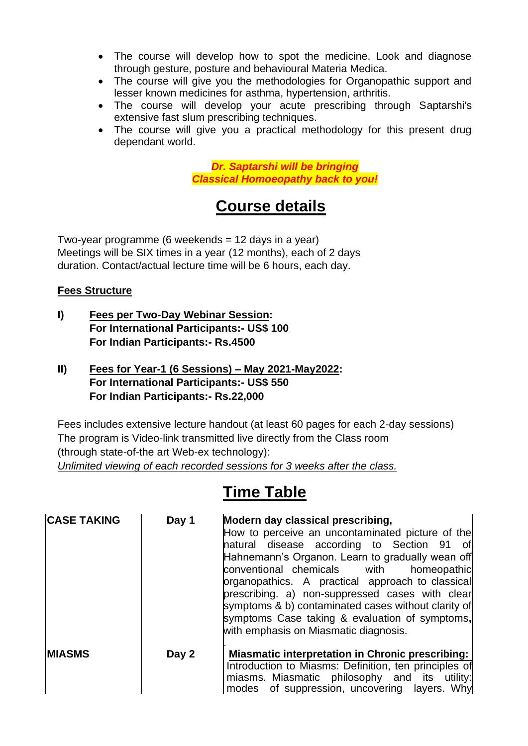- The course will develop how to spot the medicine. Look and diagnose through gesture, posture and behavioural Materia Medica.
- The course will give you the methodologies for Organopathic support and lesser known medicines for asthma, hypertension, arthritis.
- The course will develop your acute prescribing through Saptarshi's extensive fast slum prescribing techniques.
- The course will give you a practical methodology for this present drug dependant world.

*Dr. Saptarshi will be bringing Classical Homoeopathy back to you!*

# **Course details**

Two-year programme (6 weekends  $= 12$  days in a year) Meetings will be SIX times in a year (12 months), each of 2 days duration. Contact/actual lecture time will be 6 hours, each day.

## **Fees Structure**

- **I) Fees per Two-Day Webinar Session: For International Participants:- US\$ 100 For Indian Participants:- Rs.4500**
- **II) Fees for Year-1 (6 Sessions) – May 2021-May2022: For International Participants:- US\$ 550 For Indian Participants:- Rs.22,000**

Fees includes extensive lecture handout (at least 60 pages for each 2-day sessions) The program is Video-link transmitted live directly from the Class room (through state-of-the art Web-ex technology): *Unlimited viewing of each recorded sessions for 3 weeks after the class.*

# **Time Table**

| <b>CASE TAKING</b> | Day 1 | Modern day classical prescribing,<br>How to perceive an uncontaminated picture of the<br>natural disease according to Section 91<br>of<br>Hahnemann's Organon. Learn to gradually wean off<br>conventional chemicals with<br>homeopathic<br>prganopathics. A practical approach to classical<br>prescribing. a) non-suppressed cases with clear<br>symptoms & b) contaminated cases without clarity of<br>symptoms Case taking & evaluation of symptoms,<br>with emphasis on Miasmatic diagnosis. |
|--------------------|-------|---------------------------------------------------------------------------------------------------------------------------------------------------------------------------------------------------------------------------------------------------------------------------------------------------------------------------------------------------------------------------------------------------------------------------------------------------------------------------------------------------|
| <b>IMIASMS</b>     | Day 2 | <b>Miasmatic interpretation in Chronic prescribing:</b><br>Introduction to Miasms: Definition, ten principles of<br>miasms. Miasmatic philosophy and its utility:<br>modes of suppression, uncovering layers. Why                                                                                                                                                                                                                                                                                 |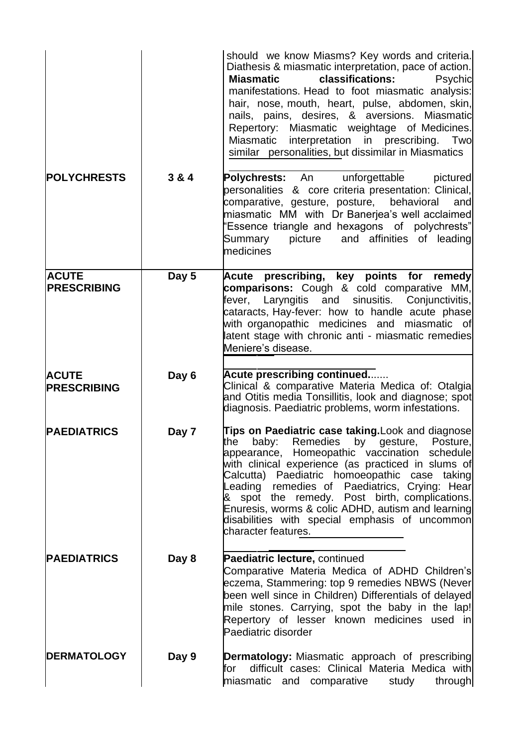|                                    |       | should we know Miasms? Key words and criteria.<br>Diathesis & miasmatic interpretation, pace of action.<br>classifications:<br><b>Miasmatic</b><br>Psychic<br>manifestations. Head to foot miasmatic analysis:<br>hair, nose, mouth, heart, pulse, abdomen, skin,<br>nails, pains, desires, & aversions. Miasmatic<br>Repertory: Miasmatic weightage of Medicines.<br>Miasmatic<br>interpretation in prescribing.<br>Two<br>similar personalities, but dissimilar in Miasmatics           |
|------------------------------------|-------|-------------------------------------------------------------------------------------------------------------------------------------------------------------------------------------------------------------------------------------------------------------------------------------------------------------------------------------------------------------------------------------------------------------------------------------------------------------------------------------------|
| <b>POLYCHRESTS</b>                 | 3 & 4 | <b>Polychrests:</b> An unforgettable<br>pictured<br>personalities & core criteria presentation: Clinical,<br>comparative, gesture, posture, behavioral<br>and<br>miasmatic MM with Dr Banerjea's well acclaimed<br>'Essence triangle and hexagons of polychrests"<br>picture and affinities of leading<br>Summary<br>medicines                                                                                                                                                            |
| <b>ACUTE</b><br><b>PRESCRIBING</b> | Day 5 | Acute prescribing, key points for remedy<br><b>comparisons:</b> Cough & cold comparative MM,<br>fever, Laryngitis and<br>sinusitis. Conjunctivitis,<br>cataracts, Hay-fever: how to handle acute phase<br>with organopathic medicines and miasmatic of<br>latent stage with chronic anti - miasmatic remedies<br>Meniere's disease.                                                                                                                                                       |
| <b>ACUTE</b><br><b>PRESCRIBING</b> | Day 6 | Acute prescribing continued<br>Clinical & comparative Materia Medica of: Otalgia<br>and Otitis media Tonsillitis, look and diagnose; spot<br>diagnosis. Paediatric problems, worm infestations.                                                                                                                                                                                                                                                                                           |
| <b>PAEDIATRICS</b>                 | Day 7 | Tips on Paediatric case taking. Look and diagnose<br>the baby: Remedies<br>by gesture,<br>Posture.<br>appearance, Homeopathic vaccination schedule<br>with clinical experience (as practiced in slums of<br>Calcutta) Paediatric homoeopathic case taking<br>Leading remedies of Paediatrics, Crying: Hear<br>& spot the remedy. Post birth, complications.<br>Enuresis, worms & colic ADHD, autism and learning<br>disabilities with special emphasis of uncommon<br>character features. |
| <b>PAEDIATRICS</b>                 | Day 8 | Paediatric lecture, continued<br>Comparative Materia Medica of ADHD Children's<br>eczema, Stammering: top 9 remedies NBWS (Never<br>been well since in Children) Differentials of delayed<br>mile stones. Carrying, spot the baby in the lap!<br>Repertory of lesser known medicines used in<br>Paediatric disorder                                                                                                                                                                       |
| <b>DERMATOLOGY</b>                 | Day 9 | <b>Dermatology:</b> Miasmatic approach of prescribing<br>difficult cases: Clinical Materia Medica with<br>for<br>miasmatic and comparative<br>through<br>study                                                                                                                                                                                                                                                                                                                            |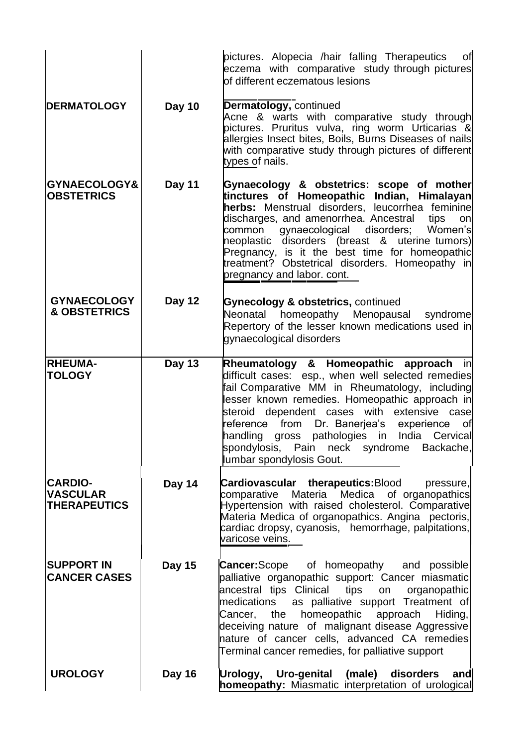|                                                          |               | pictures. Alopecia /hair falling Therapeutics<br>of<br>eczema with comparative study through pictures<br>of different eczematous lesions                                                                                                                                                                                                                                                                                                     |
|----------------------------------------------------------|---------------|----------------------------------------------------------------------------------------------------------------------------------------------------------------------------------------------------------------------------------------------------------------------------------------------------------------------------------------------------------------------------------------------------------------------------------------------|
| <b>DERMATOLOGY</b>                                       | <b>Day 10</b> | Dermatology, continued<br>Acne & warts with comparative study through<br>pictures. Pruritus vulva, ring worm Urticarias &<br>allergies Insect bites, Boils, Burns Diseases of nails<br>with comparative study through pictures of different<br>types of nails.                                                                                                                                                                               |
| <b>GYNAECOLOGY&amp;</b><br><b>OBSTETRICS</b>             | Day 11        | Gynaecology & obstetrics: scope of mother<br>tinctures of Homeopathic Indian, Himalayan<br>herbs: Menstrual disorders, leucorrhea feminine<br>discharges, and amenorrhea. Ancestral<br>tips<br>on<br>gynaecological disorders;<br>Women's<br>common<br>heoplastic disorders (breast & uterine tumors)<br>Pregnancy, is it the best time for homeopathic<br>treatment? Obstetrical disorders. Homeopathy in<br>pregnancy and labor. cont.     |
| <b>GYNAECOLOGY</b><br><b>&amp; OBSTETRICS</b>            | Day 12        | <b>Gynecology &amp; obstetrics, continued</b><br>homeopathy Menopausal<br>Neonatal<br>syndrome<br>Repertory of the lesser known medications used in<br>gynaecological disorders                                                                                                                                                                                                                                                              |
| <b>RHEUMA-</b><br><b>TOLOGY</b>                          | <b>Day 13</b> | Rheumatology & Homeopathic approach<br>in in<br>difficult cases: esp., when well selected remedies<br>fail Comparative MM in Rheumatology, including<br>lesser known remedies. Homeopathic approach in<br>steroid dependent cases with extensive case<br>reference from Dr. Banerjea's experience<br>of<br>pathologies in India Cervical<br>handling<br>gross<br>spondylosis, Pain neck<br>syndrome<br>Backache,<br>lumbar spondylosis Gout. |
| <b>CARDIO-</b><br><b>VASCULAR</b><br><b>THERAPEUTICS</b> | Day 14        | Cardiovascular therapeutics:Blood<br>pressure,<br>Materia Medica of organopathics<br>comparative<br>Hypertension with raised cholesterol. Comparative<br>Materia Medica of organopathics. Angina pectoris,<br>cardiac dropsy, cyanosis, hemorrhage, palpitations,<br>varicose veins.                                                                                                                                                         |
| <b>SUPPORT IN</b><br><b>CANCER CASES</b>                 | <b>Day 15</b> | <b>Cancer:</b> Scope of homeopathy and possible<br>palliative organopathic support: Cancer miasmatic<br>ancestral tips Clinical<br>tips<br>organopathic<br>on<br>as palliative support Treatment of<br>medications<br>Cancer, the homeopathic approach<br>Hiding,<br>deceiving nature of malignant disease Aggressive<br>nature of cancer cells, advanced CA remedies<br>Terminal cancer remedies, for palliative support                    |
| <b>UROLOGY</b>                                           | <b>Day 16</b> | Urology, Uro-genital (male) disorders<br>and<br>homeopathy: Miasmatic interpretation of urological                                                                                                                                                                                                                                                                                                                                           |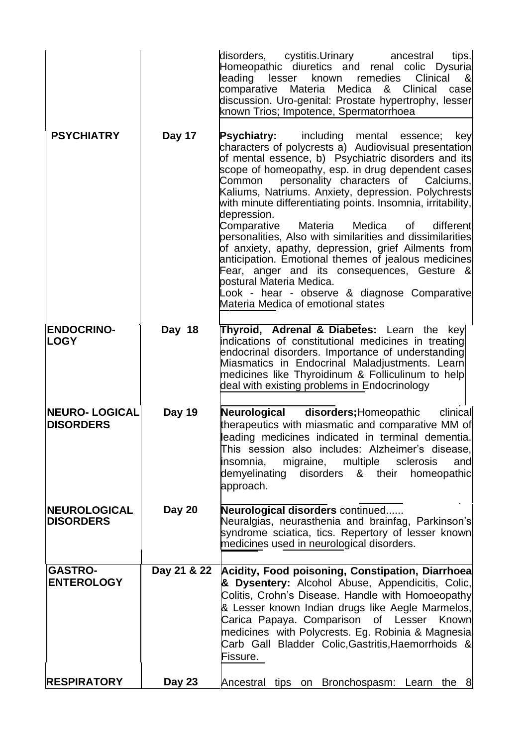|                                            |               | disorders, cystitis.Urinary<br>tips.<br>ancestral<br>Homeopathic diuretics and renal colic Dysuria<br>Clinical<br>leading<br>lesser<br>known<br><u>&amp;</u><br>remedies<br>comparative Materia<br>Medica &<br>Clinical<br>case<br>discussion. Uro-genital: Prostate hypertrophy, lesser<br>known Trios; Impotence, Spermatorrhoea                                                                                                                                                                                                                                                                                                                                                                                                                                                                              |
|--------------------------------------------|---------------|-----------------------------------------------------------------------------------------------------------------------------------------------------------------------------------------------------------------------------------------------------------------------------------------------------------------------------------------------------------------------------------------------------------------------------------------------------------------------------------------------------------------------------------------------------------------------------------------------------------------------------------------------------------------------------------------------------------------------------------------------------------------------------------------------------------------|
| <b>PSYCHIATRY</b>                          | Day 17        | <b>Psychiatry:</b> including mental essence;<br>key<br>characters of polycrests a) Audiovisual presentation<br>of mental essence, b) Psychiatric disorders and its<br>scope of homeopathy, esp. in drug dependent cases<br>personality characters of Calciums,<br>Common<br>Kaliums, Natriums. Anxiety, depression. Polychrests<br>with minute differentiating points. Insomnia, irritability,<br>depression.<br>Comparative<br>Materia<br>Medica<br>of<br>different<br>personalities, Also with similarities and dissimilarities<br>of anxiety, apathy, depression, grief Ailments from<br>anticipation. Emotional themes of jealous medicines<br>Fear, anger and its consequences, Gesture &<br>postural Materia Medica.<br>ook - hear - observe & diagnose Comparative<br>Materia Medica of emotional states |
| <b>ENDOCRINO-</b><br><b>LOGY</b>           | Day 18        | Thyroid, Adrenal & Diabetes: Learn the<br>key<br>indications of constitutional medicines in treating<br>endocrinal disorders. Importance of understanding<br>Miasmatics in Endocrinal Maladjustments. Learn<br>medicines like Thyroidinum & Folliculinum to help<br>deal with existing problems in Endocrinology                                                                                                                                                                                                                                                                                                                                                                                                                                                                                                |
| <b>INEURO- LOGICAL</b><br><b>DISORDERS</b> | <b>Day 19</b> | Neurological disorders; Homeopathic<br>clinical<br>therapeutics with miasmatic and comparative MM of<br>leading medicines indicated in terminal dementia.<br>This session also includes: Alzheimer's disease,<br>multiple<br>insomnia.<br>migraine,<br>sclerosis<br>and<br>demyelinating<br>disorders<br>& their<br>homeopathic<br>approach.                                                                                                                                                                                                                                                                                                                                                                                                                                                                    |
| <b>NEUROLOGICAL</b><br><b>DISORDERS</b>    | <b>Day 20</b> | <b>Neurological disorders continued</b><br>Neuralgias, neurasthenia and brainfag, Parkinson's<br>syndrome sciatica, tics. Repertory of lesser known<br>medicines used in neurological disorders.                                                                                                                                                                                                                                                                                                                                                                                                                                                                                                                                                                                                                |
| <b>GASTRO-</b><br><b>ENTEROLOGY</b>        | Day 21 & 22   | Acidity, Food poisoning, Constipation, Diarrhoea<br>& Dysentery: Alcohol Abuse, Appendicitis, Colic,<br>Colitis, Crohn's Disease. Handle with Homoeopathy<br>& Lesser known Indian drugs like Aegle Marmelos,<br>Carica Papaya. Comparison of Lesser Known<br>medicines with Polycrests. Eg. Robinia & Magnesia<br>Carb Gall Bladder Colic, Gastritis, Haemorrhoids &<br>Fissure.                                                                                                                                                                                                                                                                                                                                                                                                                               |
| <b>RESPIRATORY</b>                         | <b>Day 23</b> | Ancestral tips on Bronchospasm: Learn the 8                                                                                                                                                                                                                                                                                                                                                                                                                                                                                                                                                                                                                                                                                                                                                                     |